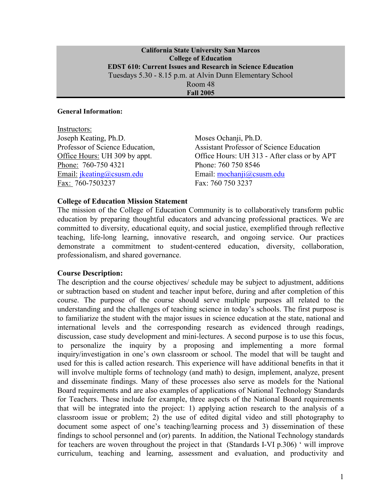### **California State University San Marcos College of Education EDST 610: Current Issues and Research in Science Education**  Tuesdays 5.30 - 8.15 p.m. at Alvin Dunn Elementary School Room 48

**Fall 2005** 

#### **General Information:**

| Moses Ochanji, Ph.D.                            |
|-------------------------------------------------|
| <b>Assistant Professor of Science Education</b> |
| Office Hours: UH 313 - After class or by APT    |
| Phone: 760 750 8546                             |
| Email: mochanji@csusm.edu                       |
| Fax: 760 750 3237                               |
|                                                 |

### **College of Education Mission Statement**

The mission of the College of Education Community is to collaboratively transform public education by preparing thoughtful educators and advancing professional practices. We are committed to diversity, educational equity, and social justice, exemplified through reflective teaching, life-long learning, innovative research, and ongoing service. Our practices demonstrate a commitment to student-centered education, diversity, collaboration, professionalism, and shared governance.

#### **Course Description:**

The description and the course objectives/ schedule may be subject to adjustment, additions or subtraction based on student and teacher input before, during and after completion of this course. The purpose of the course should serve multiple purposes all related to the understanding and the challenges of teaching science in today's schools. The first purpose is to familiarize the student with the major issues in science education at the state, national and international levels and the corresponding research as evidenced through readings, discussion, case study development and mini-lectures. A second purpose is to use this focus, to personalize the inquiry by a proposing and implementing a more formal inquiry/investigation in one's own classroom or school. The model that will be taught and used for this is called action research. This experience will have additional benefits in that it will involve multiple forms of technology (and math) to design, implement, analyze, present and disseminate findings. Many of these processes also serve as models for the National Board requirements and are also examples of applications of National Technology Standards for Teachers. These include for example, three aspects of the National Board requirements that will be integrated into the project: 1) applying action research to the analysis of a classroom issue or problem; 2) the use of edited digital video and still photography to document some aspect of one's teaching/learning process and 3) dissemination of these findings to school personnel and (or) parents. In addition, the National Technology standards for teachers are woven throughout the project in that (Standards I-VI p.306) ' will improve curriculum, teaching and learning, assessment and evaluation, and productivity and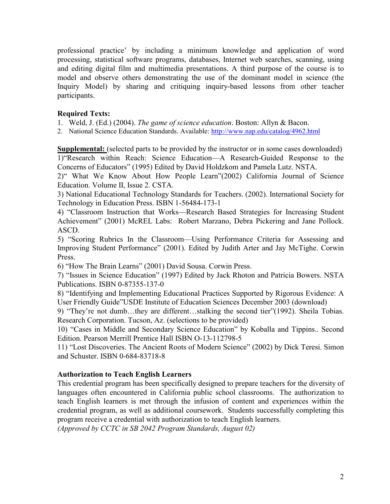professional practice' by including a minimum knowledge and application of word processing, statistical software programs, databases, Internet web searches, scanning, using and editing digital film and multimedia presentations. A third purpose of the course is to model and observe others demonstrating the use of the dominant model in science (the Inquiry Model) by sharing and critiquing inquiry-based lessons from other teacher participants.

# **Required Texts:**

1. Weld, J. (Ed.) (2004). *The game of science education*. Boston: Allyn & Bacon.

2. National Science Education Standards. Available: http://www.nap.edu/catalog/4962.html

**Supplemental:** (selected parts to be provided by the instructor or in some cases downloaded) 1)"Research within Reach: Science Education—A Research-Guided Response to the Concerns of Educators" (1995) Edited by David Holdzkom and Pamela Lutz. NSTA.

2)" What We Know About How People Learn"(2002) California Journal of Science Education. Volume II, Issue 2. CSTA.

3) National Educational Technology Standards for Teachers. (2002). International Society for Technology in Education Press. ISBN 1-56484-173-1

4) "Classroom Instruction that Works—Research Based Strategies for Increasing Student Achievement" (2001) McREL Labs: Robert Marzano, Debra Pickering and Jane Pollock. ASCD.

5) "Scoring Rubrics In the Classroom—Using Performance Criteria for Assessing and Improving Student Performance" (2001). Edited by Judith Arter and Jay McTighe. Corwin Press.

6) "How The Brain Learns" (2001) David Sousa. Corwin Press.

7) "Issues in Science Education" (1997) Edited by Jack Rhoton and Patricia Bowers. NSTA Publications. ISBN 0-87355-137-0

8) "Identifying and Implementing Educational Practices Supported by Rigorous Evidence: A User Friendly Guide"USDE Institute of Education Sciences December 2003 (download)

9) "They're not dumb…they are different…stalking the second tier"(1992). Sheila Tobias. Research Corporation. Tucson, Az. (selections to be provided)

10) "Cases in Middle and Secondary Science Education" by Koballa and Tippins.. Second Edition. Pearson Merrill Prentice Hall ISBN O-13-112798-5

11) "Lost Discoveries. The Ancient Roots of Modern Science" (2002) by Dick Teresi. Simon and Schuster. ISBN 0-684-83718-8

# **Authorization to Teach English Learners**

This credential program has been specifically designed to prepare teachers for the diversity of languages often encountered in California public school classrooms. The authorization to teach English learners is met through the infusion of content and experiences within the credential program, as well as additional coursework. Students successfully completing this program receive a credential with authorization to teach English learners.

*(Approved by CCTC in SB 2042 Program Standards, August 02)*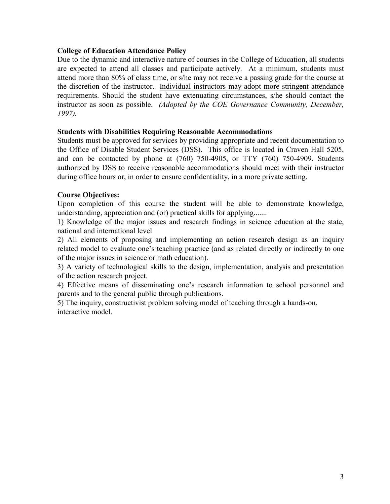# **College of Education Attendance Policy**

Due to the dynamic and interactive nature of courses in the College of Education, all students are expected to attend all classes and participate actively. At a minimum, students must attend more than 80% of class time, or s/he may not receive a passing grade for the course at the discretion of the instructor. Individual instructors may adopt more stringent attendance requirements. Should the student have extenuating circumstances, s/he should contact the instructor as soon as possible. *(Adopted by the COE Governance Community, December, 1997).*

# **Students with Disabilities Requiring Reasonable Accommodations**

Students must be approved for services by providing appropriate and recent documentation to the Office of Disable Student Services (DSS). This office is located in Craven Hall 5205, and can be contacted by phone at  $(760)$   $750-4905$ , or  $TTY$   $(760)$   $750-4909$ . Students authorized by DSS to receive reasonable accommodations should meet with their instructor during office hours or, in order to ensure confidentiality, in a more private setting.

# **Course Objectives:**

Upon completion of this course the student will be able to demonstrate knowledge, understanding, appreciation and (or) practical skills for applying.......

1) Knowledge of the major issues and research findings in science education at the state, national and international level

2) All elements of proposing and implementing an action research design as an inquiry related model to evaluate one's teaching practice (and as related directly or indirectly to one of the major issues in science or math education).

3) A variety of technological skills to the design, implementation, analysis and presentation of the action research project.

4) Effective means of disseminating one's research information to school personnel and parents and to the general public through publications.

5) The inquiry, constructivist problem solving model of teaching through a hands-on, interactive model.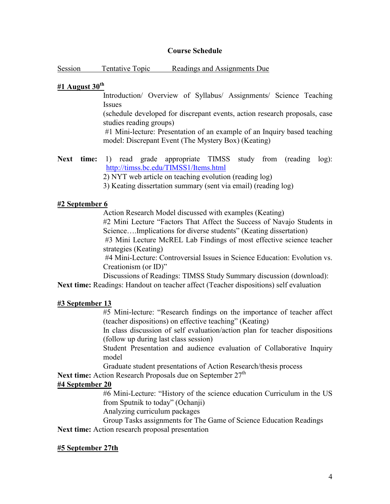### **Course Schedule**

Session Tentative Topic Readings and Assignments Due

### **#1 August 30th**

Introduction/ Overview of Syllabus/ Assignments/ Science Teaching Issues

(schedule developed for discrepant events, action research proposals, case studies reading groups)

 #1 Mini-lecture: Presentation of an example of an Inquiry based teaching model: Discrepant Event (The Mystery Box) (Keating)

Next time: 1) read grade appropriate TIMSS study from (reading log): http://timss.bc.edu/TIMSS1/Items.html

2) NYT web article on teaching evolution (reading log)

3) Keating dissertation summary (sent via email) (reading log)

### **#2 September 6**

Action Research Model discussed with examples (Keating)

#2 Mini Lecture "Factors That Affect the Success of Navajo Students in Science….Implications for diverse students" (Keating dissertation)

#3 Mini Lecture McREL Lab Findings of most effective science teacher strategies (Keating)

#4 Mini-Lecture: Controversial Issues in Science Education: Evolution vs. Creationism (or ID)"

Discussions of Readings: TIMSS Study Summary discussion (download):

**Next time:** Readings: Handout on teacher affect (Teacher dispositions) self evaluation

# **#3 September 13**

#5 Mini-lecture: "Research findings on the importance of teacher affect (teacher dispositions) on effective teaching" (Keating)

In class discussion of self evaluation/action plan for teacher dispositions (follow up during last class session)

Student Presentation and audience evaluation of Collaborative Inquiry model

Graduate student presentations of Action Research/thesis process

Next time: Action Research Proposals due on September 27<sup>th</sup>

# **#4 September 20**

#6 Mini-Lecture: "History of the science education Curriculum in the US from Sputnik to today" (Ochanji)

Analyzing curriculum packages

 Group Tasks assignments for The Game of Science Education Readings **Next time:** Action research proposal presentation

### **#5 September 27th**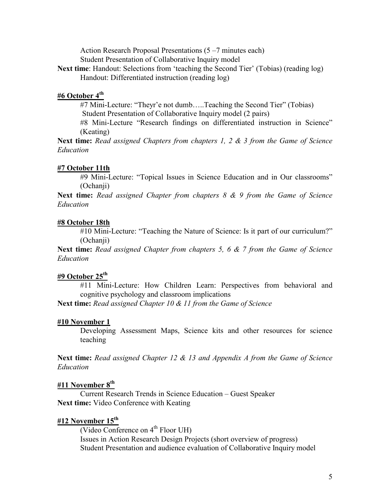Action Research Proposal Presentations (5 –7 minutes each) Student Presentation of Collaborative Inquiry model **Next time**: Handout: Selections from 'teaching the Second Tier' (Tobias) (reading log) Handout: Differentiated instruction (reading log)

### **#6 October 4th**

 #7 Mini-Lecture: "Theyr'e not dumb…..Teaching the Second Tier" (Tobias) Student Presentation of Collaborative Inquiry model (2 pairs) #8 Mini-Lecture "Research findings on differentiated instruction in Science" (Keating)

**Next time:** *Read assigned Chapters from chapters 1, 2 & 3 from the Game of Science Education* 

#### **#7 October 11th**

#9 Mini-Lecture: "Topical Issues in Science Education and in Our classrooms" (Ochanji)

**Next time:** *Read assigned Chapter from chapters 8 & 9 from the Game of Science Education* 

#### **#8 October 18th**

#10 Mini-Lecture: "Teaching the Nature of Science: Is it part of our curriculum?" (Ochanii)

**Next time:** *Read assigned Chapter from chapters 5, 6 & 7 from the Game of Science Education* 

#### **#9 October 25th**

#11 Mini-Lecture: How Children Learn: Perspectives from behavioral and cognitive psychology and classroom implications

**Next time:** *Read assigned Chapter 10 & 11 from the Game of Science*

#### **#10 November 1**

Developing Assessment Maps, Science kits and other resources for science teaching

**Next time:** *Read assigned Chapter 12 & 13 and Appendix A from the Game of Science Education*

### **#11 November 8th**

Current Research Trends in Science Education – Guest Speaker **Next time:** Video Conference with Keating

### **#12 November 15th**

(Video Conference on  $4<sup>th</sup>$  Floor UH) Issues in Action Research Design Projects (short overview of progress) Student Presentation and audience evaluation of Collaborative Inquiry model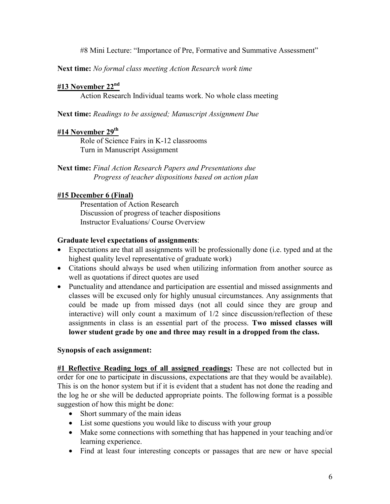#8 Mini Lecture: "Importance of Pre, Formative and Summative Assessment"

**Next time:** *No formal class meeting Action Research work time*

# **#13 November 22nd**

Action Research Individual teams work. No whole class meeting

**Next time:** *Readings to be assigned; Manuscript Assignment Due*

### **#14 November 29th**

Role of Science Fairs in K-12 classrooms Turn in Manuscript Assignment

**Next time:** *Final Action Research Papers and Presentations due Progress of teacher dispositions based on action plan* 

# **#15 December 6 (Final)**

Presentation of Action Research Discussion of progress of teacher dispositions Instructor Evaluations/ Course Overview

### **Graduate level expectations of assignments**:

- Expectations are that all assignments will be professionally done (i.e. typed and at the highest quality level representative of graduate work)
- Citations should always be used when utilizing information from another source as well as quotations if direct quotes are used
- Punctuality and attendance and participation are essential and missed assignments and classes will be excused only for highly unusual circumstances. Any assignments that could be made up from missed days (not all could since they are group and interactive) will only count a maximum of 1/2 since discussion/reflection of these assignments in class is an essential part of the process. **Two missed classes will lower student grade by one and three may result in a dropped from the class.**

# **Synopsis of each assignment:**

**#1 Reflective Reading logs of all assigned readings:** These are not collected but in order for one to participate in discussions, expectations are that they would be available). This is on the honor system but if it is evident that a student has not done the reading and the log he or she will be deducted appropriate points. The following format is a possible suggestion of how this might be done:

- Short summary of the main ideas
- List some questions you would like to discuss with your group
- Make some connections with something that has happened in your teaching and/or learning experience.
- Find at least four interesting concepts or passages that are new or have special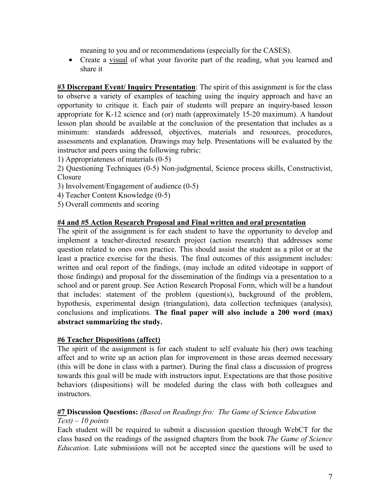meaning to you and or recommendations (especially for the CASES).

• Create a visual of what your favorite part of the reading, what you learned and share it

**#3 Discrepant Event/ Inquiry Presentation**: The spirit of this assignment is for the class to observe a variety of examples of teaching using the inquiry approach and have an opportunity to critique it. Each pair of students will prepare an inquiry-based lesson appropriate for K-12 science and (or) math (approximately 15-20 maximum). A handout lesson plan should be available at the conclusion of the presentation that includes as a minimum: standards addressed, objectives, materials and resources, procedures, assessments and explanation. Drawings may help. Presentations will be evaluated by the instructor and peers using the following rubric:

- 1) Appropriateness of materials (0-5)
- 2) Questioning Techniques (0-5) Non-judgmental, Science process skills, Constructivist, Closure
- 3) Involvement/Engagement of audience (0-5)
- 4) Teacher Content Knowledge (0-5)
- 5) Overall comments and scoring

# **#4 and #5 Action Research Proposal and Final written and oral presentation**

The spirit of the assignment is for each student to have the opportunity to develop and implement a teacher-directed research project (action research) that addresses some question related to ones own practice. This should assist the student as a pilot or at the least a practice exercise for the thesis. The final outcomes of this assignment includes: written and oral report of the findings, (may include an edited videotape in support of those findings) and proposal for the dissemination of the findings via a presentation to a school and or parent group. See Action Research Proposal Form, which will be a handout that includes: statement of the problem (question(s), background of the problem, hypothesis, experimental design (triangulation), data collection techniques (analysis), conclusions and implications. **The final paper will also include a 200 word (max) abstract summarizing the study.**

# **#6 Teacher Dispositions (affect)**

The spirit of the assignment is for each student to self evaluate his (her) own teaching affect and to write up an action plan for improvement in those areas deemed necessary (this will be done in class with a partner). During the final class a discussion of progress towards this goal will be made with instructors input. Expectations are that those positive behaviors (dispositions) will be modeled during the class with both colleagues and **instructors** 

# **#7 Discussion Questions:** *(Based on Readings fro: The Game of Science Education*

# *Text) – 10 points*

Each student will be required to submit a discussion question through WebCT for the class based on the readings of the assigned chapters from the book *The Game of Science Education*. Late submissions will not be accepted since the questions will be used to